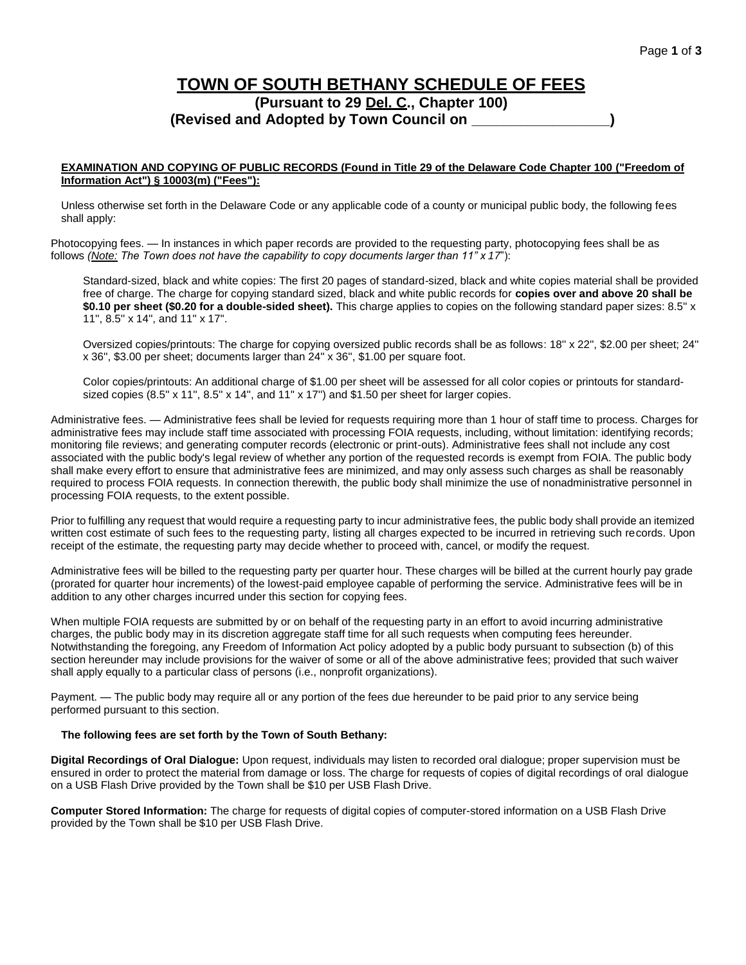## **TOWN OF SOUTH BETHANY SCHEDULE OF FEES (Pursuant to 29 Del. C., Chapter 100) (Revised and Adopted by Town Council on \_\_\_\_\_\_\_\_\_\_\_\_\_\_\_\_\_)**

## **EXAMINATION AND COPYING OF PUBLIC RECORDS (Found in Title 29 of the Delaware Code Chapter 100 ("Freedom of Information Act") § 10003(m) ("Fees"):**

Unless otherwise set forth in the Delaware Code or any applicable code of a county or municipal public body, the following fees shall apply:

Photocopying fees. — In instances in which paper records are provided to the requesting party, photocopying fees shall be as follows *(Note: The Town does not have the capability to copy documents larger than 11" x 17*"):

Standard-sized, black and white copies: The first 20 pages of standard-sized, black and white copies material shall be provided free of charge. The charge for copying standard sized, black and white public records for **copies over and above 20 shall be \$0.10 per sheet (\$0.20 for a double-sided sheet).** This charge applies to copies on the following standard paper sizes: 8.5'' x 11'', 8.5'' x 14'', and 11'' x 17''.

Oversized copies/printouts: The charge for copying oversized public records shall be as follows: 18'' x 22'', \$2.00 per sheet; 24'' x 36'', \$3.00 per sheet; documents larger than 24'' x 36'', \$1.00 per square foot.

Color copies/printouts: An additional charge of \$1.00 per sheet will be assessed for all color copies or printouts for standardsized copies (8.5" x 11", 8.5" x 14", and 11" x 17") and \$1.50 per sheet for larger copies.

Administrative fees. — Administrative fees shall be levied for requests requiring more than 1 hour of staff time to process. Charges for administrative fees may include staff time associated with processing FOIA requests, including, without limitation: identifying records; monitoring file reviews; and generating computer records (electronic or print-outs). Administrative fees shall not include any cost associated with the public body's legal review of whether any portion of the requested records is exempt from FOIA. The public body shall make every effort to ensure that administrative fees are minimized, and may only assess such charges as shall be reasonably required to process FOIA requests. In connection therewith, the public body shall minimize the use of nonadministrative personnel in processing FOIA requests, to the extent possible.

Prior to fulfilling any request that would require a requesting party to incur administrative fees, the public body shall provide an itemized written cost estimate of such fees to the requesting party, listing all charges expected to be incurred in retrieving such records. Upon receipt of the estimate, the requesting party may decide whether to proceed with, cancel, or modify the request.

Administrative fees will be billed to the requesting party per quarter hour. These charges will be billed at the current hourly pay grade (prorated for quarter hour increments) of the lowest-paid employee capable of performing the service. Administrative fees will be in addition to any other charges incurred under this section for copying fees.

When multiple FOIA requests are submitted by or on behalf of the requesting party in an effort to avoid incurring administrative charges, the public body may in its discretion aggregate staff time for all such requests when computing fees hereunder. Notwithstanding the foregoing, any Freedom of Information Act policy adopted by a public body pursuant to subsection (b) of this section hereunder may include provisions for the waiver of some or all of the above administrative fees; provided that such waiver shall apply equally to a particular class of persons (i.e., nonprofit organizations).

Payment. — The public body may require all or any portion of the fees due hereunder to be paid prior to any service being performed pursuant to this section.

## **The following fees are set forth by the Town of South Bethany:**

**Digital Recordings of Oral Dialogue:** Upon request, individuals may listen to recorded oral dialogue; proper supervision must be ensured in order to protect the material from damage or loss. The charge for requests of copies of digital recordings of oral dialogue on a USB Flash Drive provided by the Town shall be \$10 per USB Flash Drive.

**Computer Stored Information:** The charge for requests of digital copies of computer-stored information on a USB Flash Drive provided by the Town shall be \$10 per USB Flash Drive.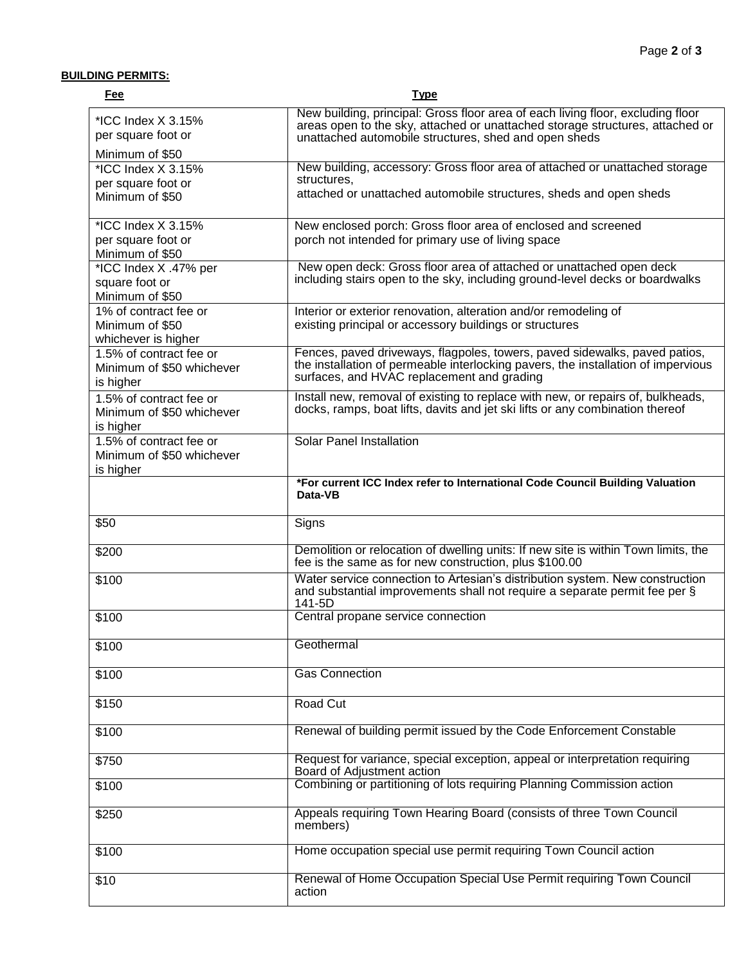## **BUILDING PERMITS:**

| Fee                                                               | <b>Type</b>                                                                                                                                                                                                               |
|-------------------------------------------------------------------|---------------------------------------------------------------------------------------------------------------------------------------------------------------------------------------------------------------------------|
| *ICC Index X 3.15%<br>per square foot or<br>Minimum of \$50       | New building, principal: Gross floor area of each living floor, excluding floor<br>areas open to the sky, attached or unattached storage structures, attached or<br>unattached automobile structures, shed and open sheds |
| *ICC Index X 3.15%<br>per square foot or<br>Minimum of \$50       | New building, accessory: Gross floor area of attached or unattached storage<br>structures,<br>attached or unattached automobile structures, sheds and open sheds                                                          |
| *ICC Index X 3.15%<br>per square foot or<br>Minimum of \$50       | New enclosed porch: Gross floor area of enclosed and screened<br>porch not intended for primary use of living space                                                                                                       |
| *ICC Index X .47% per<br>square foot or<br>Minimum of \$50        | New open deck: Gross floor area of attached or unattached open deck<br>including stairs open to the sky, including ground-level decks or boardwalks                                                                       |
| 1% of contract fee or<br>Minimum of \$50<br>whichever is higher   | Interior or exterior renovation, alteration and/or remodeling of<br>existing principal or accessory buildings or structures                                                                                               |
| 1.5% of contract fee or<br>Minimum of \$50 whichever<br>is higher | Fences, paved driveways, flagpoles, towers, paved sidewalks, paved patios,<br>the installation of permeable interlocking pavers, the installation of impervious<br>surfaces, and HVAC replacement and grading             |
| 1.5% of contract fee or<br>Minimum of \$50 whichever<br>is higher | Install new, removal of existing to replace with new, or repairs of, bulkheads,<br>docks, ramps, boat lifts, davits and jet ski lifts or any combination thereof                                                          |
| 1.5% of contract fee or<br>Minimum of \$50 whichever<br>is higher | <b>Solar Panel Installation</b>                                                                                                                                                                                           |
|                                                                   | *For current ICC Index refer to International Code Council Building Valuation<br>Data-VB                                                                                                                                  |
| \$50                                                              | Signs                                                                                                                                                                                                                     |
| \$200                                                             | Demolition or relocation of dwelling units: If new site is within Town limits, the<br>fee is the same as for new construction, plus \$100.00                                                                              |
| \$100                                                             | Water service connection to Artesian's distribution system. New construction<br>and substantial improvements shall not require a separate permit fee per §<br>141-5D                                                      |
| \$100                                                             | Central propane service connection                                                                                                                                                                                        |
| \$100                                                             | Geothermal                                                                                                                                                                                                                |
| \$100                                                             | <b>Gas Connection</b>                                                                                                                                                                                                     |
| \$150                                                             | Road Cut                                                                                                                                                                                                                  |
| \$100                                                             | Renewal of building permit issued by the Code Enforcement Constable                                                                                                                                                       |
| \$750                                                             | Request for variance, special exception, appeal or interpretation requiring<br>Board of Adjustment action                                                                                                                 |
| \$100                                                             | Combining or partitioning of lots requiring Planning Commission action                                                                                                                                                    |
| \$250                                                             | Appeals requiring Town Hearing Board (consists of three Town Council<br>members)                                                                                                                                          |
| \$100                                                             | Home occupation special use permit requiring Town Council action                                                                                                                                                          |
| \$10                                                              | Renewal of Home Occupation Special Use Permit requiring Town Council<br>action                                                                                                                                            |